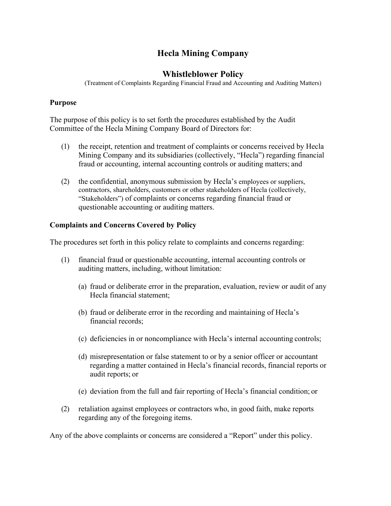# **Hecla Mining Company**

# **Whistleblower Policy**

(Treatment of Complaints Regarding Financial Fraud and Accounting and Auditing Matters)

#### **Purpose**

The purpose of this policy is to set forth the procedures established by the Audit Committee of the Hecla Mining Company Board of Directors for:

- (1) the receipt, retention and treatment of complaints or concerns received by Hecla Mining Company and its subsidiaries (collectively, "Hecla") regarding financial fraud or accounting, internal accounting controls or auditing matters; and
- (2) the confidential, anonymous submission by Hecla's employees or suppliers, contractors, shareholders, customers or other stakeholders of Hecla (collectively, "Stakeholders") of complaints or concerns regarding financial fraud or questionable accounting or auditing matters.

## **Complaints and Concerns Covered by Policy**

The procedures set forth in this policy relate to complaints and concerns regarding:

- (1) financial fraud or questionable accounting, internal accounting controls or auditing matters, including, without limitation:
	- (a) fraud or deliberate error in the preparation, evaluation, review or audit of any Hecla financial statement;
	- (b) fraud or deliberate error in the recording and maintaining of Hecla's financial records;
	- (c) deficiencies in or noncompliance with Hecla's internal accounting controls;
	- (d) misrepresentation or false statement to or by a senior officer or accountant regarding a matter contained in Hecla's financial records, financial reports or audit reports; or
	- (e) deviation from the full and fair reporting of Hecla's financial condition; or
- (2) retaliation against employees or contractors who, in good faith, make reports regarding any of the foregoing items.

Any of the above complaints or concerns are considered a "Report" under this policy.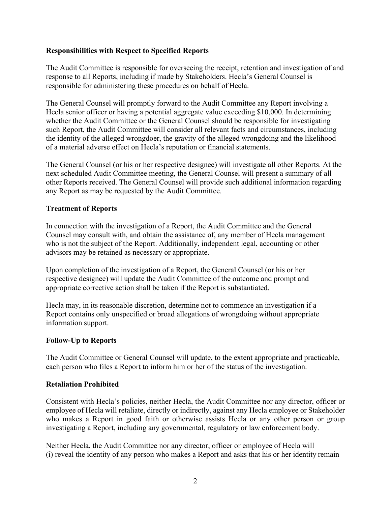## **Responsibilities with Respect to Specified Reports**

The Audit Committee is responsible for overseeing the receipt, retention and investigation of and response to all Reports, including if made by Stakeholders. Hecla's General Counsel is responsible for administering these procedures on behalf of Hecla.

The General Counsel will promptly forward to the Audit Committee any Report involving a Hecla senior officer or having a potential aggregate value exceeding \$10,000. In determining whether the Audit Committee or the General Counsel should be responsible for investigating such Report, the Audit Committee will consider all relevant facts and circumstances, including the identity of the alleged wrongdoer, the gravity of the alleged wrongdoing and the likelihood of a material adverse effect on Hecla's reputation or financial statements.

The General Counsel (or his or her respective designee) will investigate all other Reports. At the next scheduled Audit Committee meeting, the General Counsel will present a summary of all other Reports received. The General Counsel will provide such additional information regarding any Report as may be requested by the Audit Committee.

#### **Treatment of Reports**

In connection with the investigation of a Report, the Audit Committee and the General Counsel may consult with, and obtain the assistance of, any member of Hecla management who is not the subject of the Report. Additionally, independent legal, accounting or other advisors may be retained as necessary or appropriate.

Upon completion of the investigation of a Report, the General Counsel (or his or her respective designee) will update the Audit Committee of the outcome and prompt and appropriate corrective action shall be taken if the Report is substantiated.

Hecla may, in its reasonable discretion, determine not to commence an investigation if a Report contains only unspecified or broad allegations of wrongdoing without appropriate information support.

#### **Follow-Up to Reports**

The Audit Committee or General Counsel will update, to the extent appropriate and practicable, each person who files a Report to inform him or her of the status of the investigation.

#### **Retaliation Prohibited**

Consistent with Hecla's policies, neither Hecla, the Audit Committee nor any director, officer or employee of Hecla will retaliate, directly or indirectly, against any Hecla employee or Stakeholder who makes a Report in good faith or otherwise assists Hecla or any other person or group investigating a Report, including any governmental, regulatory or law enforcement body.

Neither Hecla, the Audit Committee nor any director, officer or employee of Hecla will (i) reveal the identity of any person who makes a Report and asks that his or her identity remain